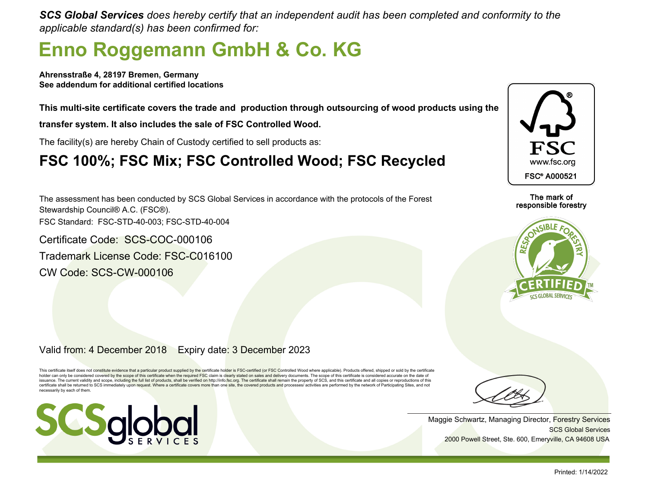*SCS Global Services does hereby certify that an independent audit has been completed and conformity to the applicable standard(s) has been confirmed for:*

## **Enno Roggemann GmbH & Co. KG**

**Ahrensstraße 4, 28197 Bremen, Germany See addendum for additional certified locations**

**This multi-site certificate covers the trade and production through outsourcing of wood products using the**

**transfer system. It also includes the sale of FSC Controlled Wood.**

The facility(s) are hereby Chain of Custody certified to sell products as:

### **FSC 100%; FSC Mix; FSC Controlled Wood; FSC Recycled**

The assessment has been conducted by SCS Global Services in accordance with the protocols of the Forest Stewardship Council® A.C. (FSC®). FSC Standard: FSC-STD-40-003; FSC-STD-40-004

Certificate Code: SCS-COC-000106 Trademark License Code: FSC-C016100 CW Code: SCS-CW-000106



The mark of responsible forestry



Valid from: 4 December 2018 Expiry date: 3 December 2023

This certificate itself does not constitute evidence that a particular product supplied by the certificate holder is FSC-certified (or FSC Controlled Wood where applicable). Products offered, shipped or sold by the certifi issuance. The current validity and scope, including the full list of products, shall be verified on http://info.fsc.org. The certificate shall remain the property of SCS, and this certificate and all copies or reproduction certificate shall be returned to SCS immediately upon request. Where a certificate covers more than one site, the covered products and processes/ activities are performed by the network of Participating Sites, and not necessarily by each of them.



SCS Global Services Maggie Schwartz, Managing Director, Forestry Services 2000 Powell Street, Ste. 600, Emeryville, CA 94608 USA